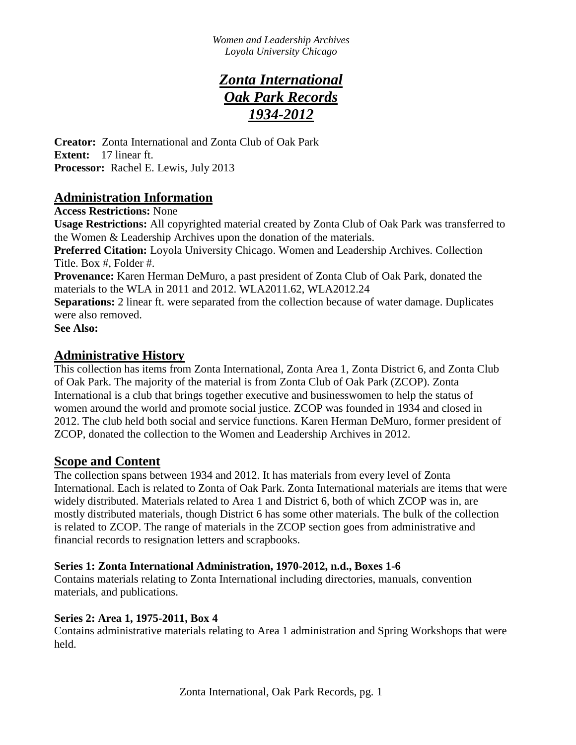# *Zonta International Oak Park Records 1934-2012*

**Creator:** Zonta International and Zonta Club of Oak Park **Extent:** 17 linear ft. **Processor:** Rachel E. Lewis, July 2013

## **Administration Information**

**Access Restrictions:** None

**Usage Restrictions:** All copyrighted material created by Zonta Club of Oak Park was transferred to the Women & Leadership Archives upon the donation of the materials.

**Preferred Citation:** Loyola University Chicago. Women and Leadership Archives. Collection Title. Box #, Folder #.

**Provenance:** Karen Herman DeMuro, a past president of Zonta Club of Oak Park, donated the materials to the WLA in 2011 and 2012. WLA2011.62, WLA2012.24

**Separations:** 2 linear ft. were separated from the collection because of water damage. Duplicates were also removed.

**See Also:** 

## **Administrative History**

This collection has items from Zonta International, Zonta Area 1, Zonta District 6, and Zonta Club of Oak Park. The majority of the material is from Zonta Club of Oak Park (ZCOP). Zonta International is a club that brings together executive and businesswomen to help the status of women around the world and promote social justice. ZCOP was founded in 1934 and closed in 2012. The club held both social and service functions. Karen Herman DeMuro, former president of ZCOP, donated the collection to the Women and Leadership Archives in 2012.

## **Scope and Content**

The collection spans between 1934 and 2012. It has materials from every level of Zonta International. Each is related to Zonta of Oak Park. Zonta International materials are items that were widely distributed. Materials related to Area 1 and District 6, both of which ZCOP was in, are mostly distributed materials, though District 6 has some other materials. The bulk of the collection is related to ZCOP. The range of materials in the ZCOP section goes from administrative and financial records to resignation letters and scrapbooks.

## **Series 1: Zonta International Administration, 1970-2012, n.d., Boxes 1-6**

Contains materials relating to Zonta International including directories, manuals, convention materials, and publications.

## **Series 2: Area 1, 1975-2011, Box 4**

Contains administrative materials relating to Area 1 administration and Spring Workshops that were held.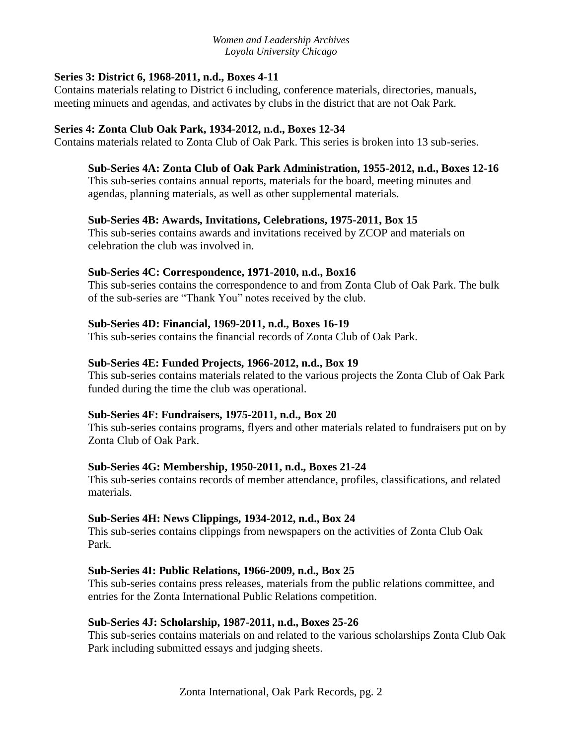## **Series 3: District 6, 1968-2011, n.d., Boxes 4**-**11**

Contains materials relating to District 6 including, conference materials, directories, manuals, meeting minuets and agendas, and activates by clubs in the district that are not Oak Park.

### **Series 4: Zonta Club Oak Park, 1934-2012, n.d., Boxes 12-34**

Contains materials related to Zonta Club of Oak Park. This series is broken into 13 sub-series.

## **Sub-Series 4A: Zonta Club of Oak Park Administration, 1955-2012, n.d., Boxes 12-16**

This sub-series contains annual reports, materials for the board, meeting minutes and agendas, planning materials, as well as other supplemental materials.

## **Sub-Series 4B: Awards, Invitations, Celebrations, 1975-2011, Box 15**

This sub-series contains awards and invitations received by ZCOP and materials on celebration the club was involved in.

### **Sub-Series 4C: Correspondence, 1971-2010, n.d., Box16**

This sub-series contains the correspondence to and from Zonta Club of Oak Park. The bulk of the sub-series are "Thank You" notes received by the club.

### **Sub-Series 4D: Financial, 1969-2011, n.d., Boxes 16-19**

This sub-series contains the financial records of Zonta Club of Oak Park.

## **Sub-Series 4E: Funded Projects, 1966-2012, n.d., Box 19**

This sub-series contains materials related to the various projects the Zonta Club of Oak Park funded during the time the club was operational.

### **Sub-Series 4F: Fundraisers, 1975-2011, n.d., Box 20**

This sub-series contains programs, flyers and other materials related to fundraisers put on by Zonta Club of Oak Park.

### **Sub-Series 4G: Membership, 1950-2011, n.d., Boxes 21-24**

This sub-series contains records of member attendance, profiles, classifications, and related materials.

### **Sub-Series 4H: News Clippings, 1934-2012, n.d., Box 24**

This sub-series contains clippings from newspapers on the activities of Zonta Club Oak Park.

### **Sub-Series 4I: Public Relations, 1966-2009, n.d., Box 25**

This sub-series contains press releases, materials from the public relations committee, and entries for the Zonta International Public Relations competition.

### **Sub-Series 4J: Scholarship, 1987-2011, n.d., Boxes 25-26**

This sub-series contains materials on and related to the various scholarships Zonta Club Oak Park including submitted essays and judging sheets.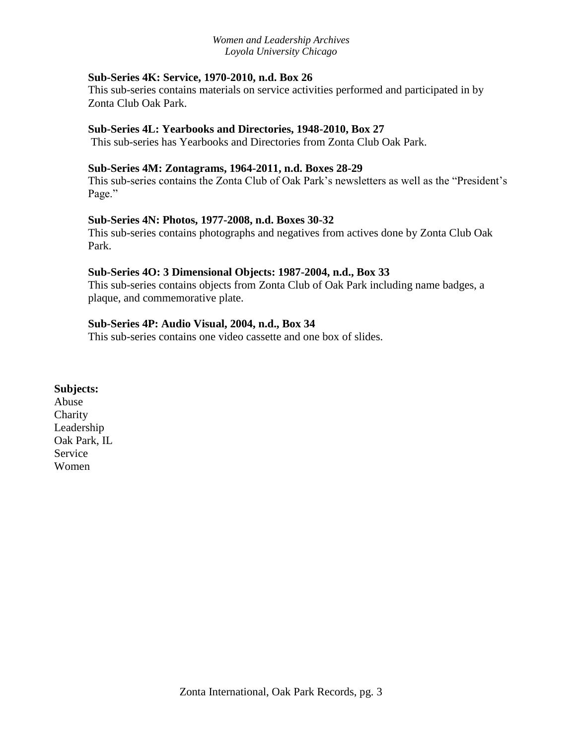## **Sub-Series 4K: Service, 1970-2010, n.d. Box 26**

This sub-series contains materials on service activities performed and participated in by Zonta Club Oak Park.

### **Sub-Series 4L: Yearbooks and Directories, 1948-2010, Box 27**

This sub-series has Yearbooks and Directories from Zonta Club Oak Park.

### **Sub-Series 4M: Zontagrams, 1964-2011, n.d. Boxes 28-29**

This sub-series contains the Zonta Club of Oak Park's newsletters as well as the "President's Page."

### **Sub-Series 4N: Photos, 1977-2008, n.d. Boxes 30-32**

This sub-series contains photographs and negatives from actives done by Zonta Club Oak Park.

## **Sub-Series 4O: 3 Dimensional Objects: 1987-2004, n.d., Box 33**

This sub-series contains objects from Zonta Club of Oak Park including name badges, a plaque, and commemorative plate.

## **Sub-Series 4P: Audio Visual, 2004, n.d., Box 34**

This sub-series contains one video cassette and one box of slides.

## **Subjects:**

Abuse **Charity** Leadership Oak Park, IL Service Women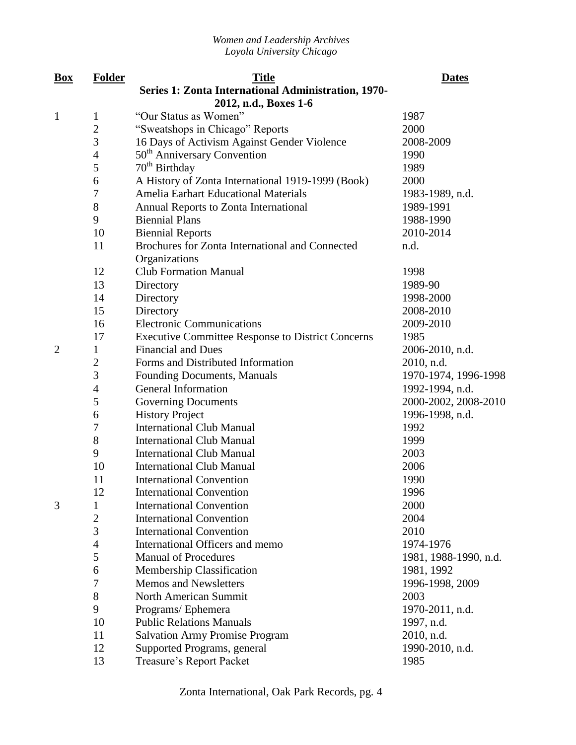| <b>Box</b>     | <b>Folder</b>  | <b>Title</b>                                             | <b>Dates</b>          |
|----------------|----------------|----------------------------------------------------------|-----------------------|
|                |                | Series 1: Zonta International Administration, 1970-      |                       |
|                |                | 2012, n.d., Boxes 1-6                                    |                       |
| $\mathbf{1}$   | $\mathbf 1$    | "Our Status as Women"                                    | 1987                  |
|                | $\overline{2}$ | "Sweatshops in Chicago" Reports                          | 2000                  |
|                | 3              | 16 Days of Activism Against Gender Violence              | 2008-2009             |
|                | $\overline{4}$ | 50 <sup>th</sup> Anniversary Convention                  | 1990                  |
|                | 5              | 70 <sup>th</sup> Birthday                                | 1989                  |
|                | 6              | A History of Zonta International 1919-1999 (Book)        | 2000                  |
|                | 7              | <b>Amelia Earhart Educational Materials</b>              | 1983-1989, n.d.       |
|                | 8              | Annual Reports to Zonta International                    | 1989-1991             |
|                | 9              | <b>Biennial Plans</b>                                    | 1988-1990             |
|                | 10             | <b>Biennial Reports</b>                                  | 2010-2014             |
|                | 11             | Brochures for Zonta International and Connected          | n.d.                  |
|                |                | Organizations                                            |                       |
|                | 12             | <b>Club Formation Manual</b>                             | 1998                  |
|                | 13             | Directory                                                | 1989-90               |
|                | 14             | Directory                                                | 1998-2000             |
|                | 15             | Directory                                                | 2008-2010             |
|                | 16             | <b>Electronic Communications</b>                         | 2009-2010             |
|                | 17             | <b>Executive Committee Response to District Concerns</b> | 1985                  |
| $\overline{2}$ | 1              | <b>Financial and Dues</b>                                | 2006-2010, n.d.       |
|                | $\overline{c}$ | Forms and Distributed Information                        | 2010, n.d.            |
|                | 3              | Founding Documents, Manuals                              | 1970-1974, 1996-1998  |
|                | 4              | General Information                                      | 1992-1994, n.d.       |
|                | 5              | <b>Governing Documents</b>                               | 2000-2002, 2008-2010  |
|                | 6              | <b>History Project</b>                                   | 1996-1998, n.d.       |
|                | 7              | <b>International Club Manual</b>                         | 1992                  |
|                | 8              | <b>International Club Manual</b>                         | 1999                  |
|                | 9              | <b>International Club Manual</b>                         | 2003                  |
|                | 10             | <b>International Club Manual</b>                         | 2006                  |
|                | 11             | <b>International Convention</b>                          | 1990                  |
|                | 12             | <b>International Convention</b>                          | 1996                  |
| 3              | 1              | <b>International Convention</b>                          | 2000                  |
|                | $\overline{2}$ | <b>International Convention</b>                          | 2004                  |
|                | 3              | <b>International Convention</b>                          | 2010                  |
|                | $\overline{4}$ | International Officers and memo                          | 1974-1976             |
|                | 5              | <b>Manual of Procedures</b>                              | 1981, 1988-1990, n.d. |
|                | 6              | <b>Membership Classification</b>                         | 1981, 1992            |
|                | 7              | <b>Memos and Newsletters</b>                             | 1996-1998, 2009       |
|                | 8              | North American Summit                                    | 2003                  |
|                | 9              | Programs/Ephemera                                        | 1970-2011, n.d.       |
|                | 10             | <b>Public Relations Manuals</b>                          | 1997, n.d.            |
|                | 11             | <b>Salvation Army Promise Program</b>                    | 2010, n.d.            |
|                | 12             | Supported Programs, general                              | 1990-2010, n.d.       |
|                | 13             | Treasure's Report Packet                                 | 1985                  |
|                |                |                                                          |                       |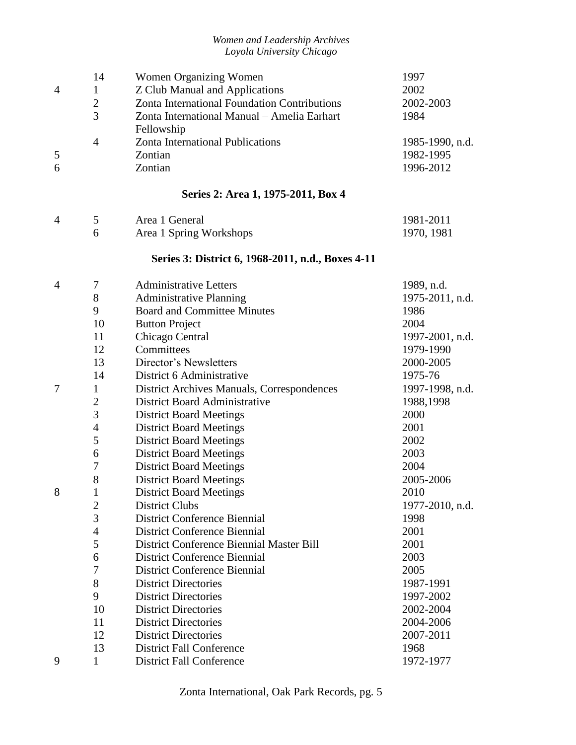|                | 14               | Women Organizing Women                            | 1997            |
|----------------|------------------|---------------------------------------------------|-----------------|
| $\overline{4}$ | $\mathbf{1}$     | <b>Z Club Manual and Applications</b>             | 2002            |
|                | $\overline{2}$   | Zonta International Foundation Contributions      | 2002-2003       |
|                | $\overline{3}$   | Zonta International Manual - Amelia Earhart       | 1984            |
|                |                  | Fellowship                                        |                 |
|                | $\overline{4}$   | Zonta International Publications                  | 1985-1990, n.d. |
| 5              |                  | Zontian                                           | 1982-1995       |
| 6              |                  | Zontian                                           | 1996-2012       |
|                |                  | Series 2: Area 1, 1975-2011, Box 4                |                 |
|                |                  |                                                   |                 |
| $\overline{4}$ | 5                | Area 1 General                                    | 1981-2011       |
|                | 6                | Area 1 Spring Workshops                           | 1970, 1981      |
|                |                  | Series 3: District 6, 1968-2011, n.d., Boxes 4-11 |                 |
| $\overline{4}$ | 7                | <b>Administrative Letters</b>                     | 1989, n.d.      |
|                | 8                | <b>Administrative Planning</b>                    | 1975-2011, n.d. |
|                | 9                | <b>Board and Committee Minutes</b>                | 1986            |
|                | 10               | <b>Button Project</b>                             | 2004            |
|                | 11               | Chicago Central                                   | 1997-2001, n.d. |
|                | 12               | Committees                                        | 1979-1990       |
|                | 13               | Director's Newsletters                            | 2000-2005       |
|                | 14               | District 6 Administrative                         | 1975-76         |
| $\overline{7}$ | $\mathbf{1}$     | District Archives Manuals, Correspondences        | 1997-1998, n.d. |
|                | $\overline{2}$   | District Board Administrative                     | 1988,1998       |
|                | 3                | <b>District Board Meetings</b>                    | 2000            |
|                | $\overline{4}$   | <b>District Board Meetings</b>                    | 2001            |
|                | 5                | <b>District Board Meetings</b>                    | 2002            |
|                | 6                | <b>District Board Meetings</b>                    | 2003            |
|                | 7                | <b>District Board Meetings</b>                    | 2004            |
|                | 8                | <b>District Board Meetings</b>                    | 2005-2006       |
| 8              | $\mathbf{1}$     | <b>District Board Meetings</b>                    | 2010            |
|                | $\overline{2}$   | <b>District Clubs</b>                             | 1977-2010, n.d. |
|                | 3                | <b>District Conference Biennial</b>               | 1998            |
|                | $\overline{4}$   | <b>District Conference Biennial</b>               | 2001            |
|                | 5                | District Conference Biennial Master Bill          | 2001            |
|                | 6                | <b>District Conference Biennial</b>               | 2003            |
|                | $\boldsymbol{7}$ | <b>District Conference Biennial</b>               | 2005            |
|                | 8                | <b>District Directories</b>                       | 1987-1991       |
|                | 9                | <b>District Directories</b>                       | 1997-2002       |
|                | 10               | <b>District Directories</b>                       | 2002-2004       |
|                | 11               | <b>District Directories</b>                       | 2004-2006       |
|                | 12               | <b>District Directories</b>                       | 2007-2011       |
|                | 13               | <b>District Fall Conference</b>                   | 1968            |
| 9              | 1                | <b>District Fall Conference</b>                   | 1972-1977       |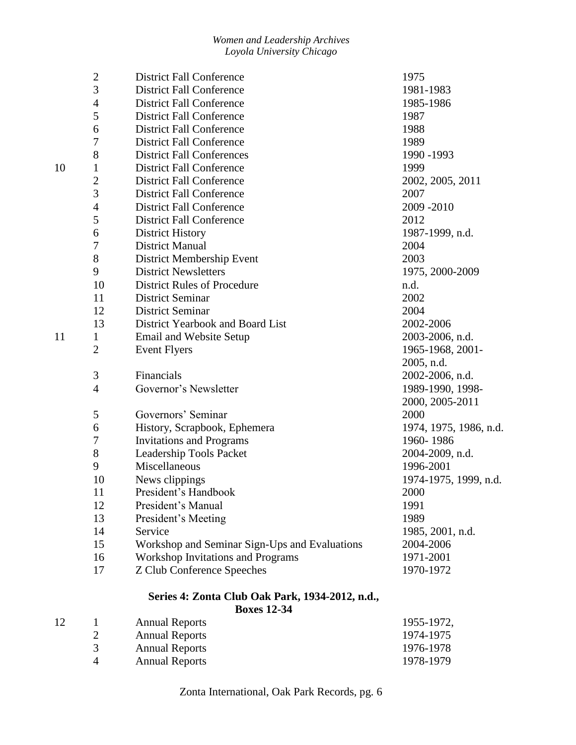|    | $\overline{2}$ | <b>District Fall Conference</b>                 | 1975                   |
|----|----------------|-------------------------------------------------|------------------------|
|    | $\overline{3}$ | <b>District Fall Conference</b>                 | 1981-1983              |
|    | $\overline{4}$ | <b>District Fall Conference</b>                 | 1985-1986              |
|    | 5              | <b>District Fall Conference</b>                 | 1987                   |
|    | 6              | <b>District Fall Conference</b>                 | 1988                   |
|    | 7              | <b>District Fall Conference</b>                 | 1989                   |
|    | 8              | <b>District Fall Conferences</b>                | 1990 - 1993            |
| 10 | 1              | <b>District Fall Conference</b>                 | 1999                   |
|    | $\overline{c}$ | <b>District Fall Conference</b>                 | 2002, 2005, 2011       |
|    | 3              | <b>District Fall Conference</b>                 | 2007                   |
|    | $\overline{4}$ | <b>District Fall Conference</b>                 | 2009-2010              |
|    | 5              | <b>District Fall Conference</b>                 | 2012                   |
|    | 6              | <b>District History</b>                         | 1987-1999, n.d.        |
|    | 7              | <b>District Manual</b>                          | 2004                   |
|    | $8\,$          | District Membership Event                       | 2003                   |
|    | 9              | <b>District Newsletters</b>                     | 1975, 2000-2009        |
|    | 10             | <b>District Rules of Procedure</b>              | n.d.                   |
|    | 11             | <b>District Seminar</b>                         | 2002                   |
|    | 12             | <b>District Seminar</b>                         | 2004                   |
|    | 13             | District Yearbook and Board List                | 2002-2006              |
| 11 | $\mathbf{1}$   | Email and Website Setup                         | 2003-2006, n.d.        |
|    | $\overline{2}$ | <b>Event Flyers</b>                             | 1965-1968, 2001-       |
|    |                |                                                 | 2005, n.d.             |
|    | $\mathfrak{Z}$ | Financials                                      | 2002-2006, n.d.        |
|    | $\overline{4}$ | Governor's Newsletter                           | 1989-1990, 1998-       |
|    |                |                                                 | 2000, 2005-2011        |
|    | 5              | Governors' Seminar                              | 2000                   |
|    | 6              | History, Scrapbook, Ephemera                    | 1974, 1975, 1986, n.d. |
|    | 7              | <b>Invitations and Programs</b>                 | 1960-1986              |
|    | $8\,$          | Leadership Tools Packet                         | 2004-2009, n.d.        |
|    | 9              | Miscellaneous                                   | 1996-2001              |
|    | 10             | News clippings                                  | 1974-1975, 1999, n.d.  |
|    | 11             | President's Handbook                            | 2000                   |
|    | 12             | President's Manual                              | 1991                   |
|    | 13             | President's Meeting                             | 1989                   |
|    | 14             | Service                                         | 1985, 2001, n.d.       |
|    | 15             | Workshop and Seminar Sign-Ups and Evaluations   | 2004-2006              |
|    | 16             | <b>Workshop Invitations and Programs</b>        | 1971-2001              |
|    | 17             | <b>Z Club Conference Speeches</b>               | 1970-1972              |
|    |                | Series 4: Zonta Club Oak Park, 1934-2012, n.d., |                        |
|    |                | <b>Boxes 12-34</b>                              |                        |

12 1 Annual Reports 1955-1972,<br>
2 Annual Reports 1974-1975 2 Annual Reports 1974-1975<br>3 Annual Reports 1976-1978 Annual Reports Annual Reports 1978-1979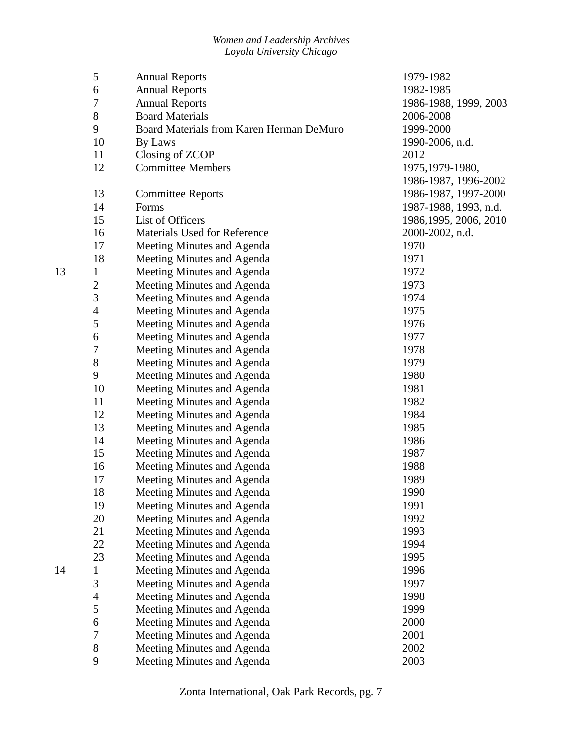|    | 5                       | <b>Annual Reports</b>                    | 1979-1982              |
|----|-------------------------|------------------------------------------|------------------------|
|    | 6                       | <b>Annual Reports</b>                    | 1982-1985              |
|    | 7                       | <b>Annual Reports</b>                    | 1986-1988, 1999, 2003  |
|    | $8\,$                   | <b>Board Materials</b>                   | 2006-2008              |
|    | 9                       | Board Materials from Karen Herman DeMuro | 1999-2000              |
|    | 10                      | By Laws                                  | 1990-2006, n.d.        |
|    | 11                      | Closing of ZCOP                          | 2012                   |
|    | 12                      | <b>Committee Members</b>                 | 1975, 1979-1980,       |
|    |                         |                                          | 1986-1987, 1996-2002   |
|    | 13                      | <b>Committee Reports</b>                 | 1986-1987, 1997-2000   |
|    | 14                      | Forms                                    | 1987-1988, 1993, n.d.  |
|    | 15                      | List of Officers                         | 1986, 1995, 2006, 2010 |
|    | 16                      | Materials Used for Reference             | 2000-2002, n.d.        |
|    | 17                      | Meeting Minutes and Agenda               | 1970                   |
|    | 18                      | Meeting Minutes and Agenda               | 1971                   |
| 13 | $\mathbf 1$             | Meeting Minutes and Agenda               | 1972                   |
|    | $\overline{\mathbf{c}}$ | Meeting Minutes and Agenda               | 1973                   |
|    | 3                       | Meeting Minutes and Agenda               | 1974                   |
|    | $\overline{4}$          | Meeting Minutes and Agenda               | 1975                   |
|    | 5                       | Meeting Minutes and Agenda               | 1976                   |
|    | 6                       | Meeting Minutes and Agenda               | 1977                   |
|    | $\boldsymbol{7}$        | Meeting Minutes and Agenda               | 1978                   |
|    | $8\,$                   | Meeting Minutes and Agenda               | 1979                   |
|    | 9                       | Meeting Minutes and Agenda               | 1980                   |
|    | 10                      | Meeting Minutes and Agenda               | 1981                   |
|    | 11                      | Meeting Minutes and Agenda               | 1982                   |
|    | 12                      | Meeting Minutes and Agenda               | 1984                   |
|    | 13                      | Meeting Minutes and Agenda               | 1985                   |
|    | 14                      | Meeting Minutes and Agenda               | 1986                   |
|    | 15                      | Meeting Minutes and Agenda               | 1987                   |
|    | 16                      | Meeting Minutes and Agenda               | 1988                   |
|    | 17                      | Meeting Minutes and Agenda               | 1989                   |
|    | 18                      | Meeting Minutes and Agenda               | 1990                   |
|    | 19                      | Meeting Minutes and Agenda               | 1991                   |
|    | 20                      | Meeting Minutes and Agenda               | 1992                   |
|    | 21                      | Meeting Minutes and Agenda               | 1993                   |
|    | 22                      | Meeting Minutes and Agenda               | 1994                   |
|    | 23                      | Meeting Minutes and Agenda               | 1995                   |
| 14 | $\mathbf{1}$            | Meeting Minutes and Agenda               | 1996                   |
|    | 3                       | Meeting Minutes and Agenda               | 1997                   |
|    | $\overline{4}$          | Meeting Minutes and Agenda               | 1998                   |
|    | 5                       | Meeting Minutes and Agenda               | 1999                   |
|    | 6                       | Meeting Minutes and Agenda               | 2000                   |
|    | 7                       | Meeting Minutes and Agenda               | 2001                   |
|    | $8\,$                   | Meeting Minutes and Agenda               | 2002                   |
|    | 9                       | Meeting Minutes and Agenda               | 2003                   |
|    |                         |                                          |                        |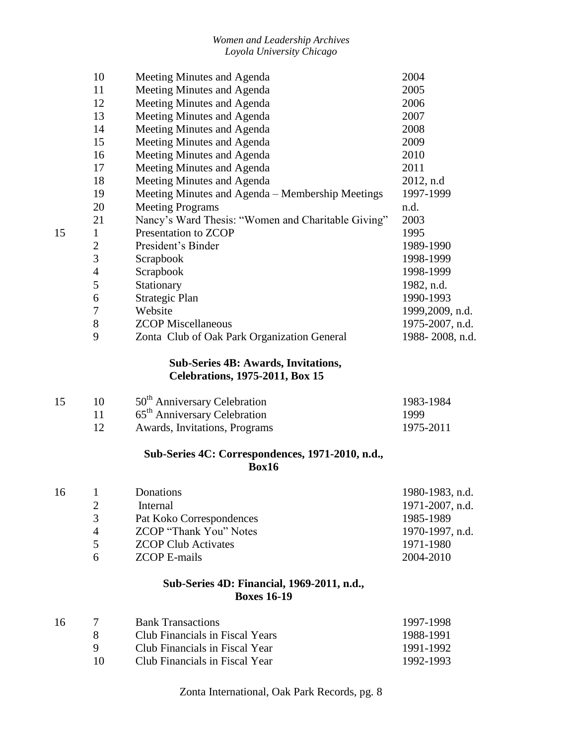|    | 10             | Meeting Minutes and Agenda                         | 2004            |
|----|----------------|----------------------------------------------------|-----------------|
|    | 11             | Meeting Minutes and Agenda                         | 2005            |
|    | 12             | Meeting Minutes and Agenda                         | 2006            |
|    | 13             | Meeting Minutes and Agenda                         | 2007            |
|    | 14             | Meeting Minutes and Agenda                         | 2008            |
|    | 15             | Meeting Minutes and Agenda                         | 2009            |
|    | 16             | Meeting Minutes and Agenda                         | 2010            |
|    | 17             | Meeting Minutes and Agenda                         | 2011            |
|    | 18             | Meeting Minutes and Agenda                         | 2012, n.d       |
|    | 19             | Meeting Minutes and Agenda - Membership Meetings   | 1997-1999       |
|    | 20             | <b>Meeting Programs</b>                            | n.d.            |
|    | 21             | Nancy's Ward Thesis: "Women and Charitable Giving" | 2003            |
| 15 | $\mathbf{1}$   | Presentation to ZCOP                               | 1995            |
|    | $\mathbf{2}$   | President's Binder                                 | 1989-1990       |
|    | 3              | Scrapbook                                          | 1998-1999       |
|    | $\overline{4}$ | Scrapbook                                          | 1998-1999       |
|    | 5              | Stationary                                         | 1982, n.d.      |
|    | 6              | Strategic Plan                                     | 1990-1993       |
|    | $\overline{7}$ | Website                                            | 1999,2009, n.d. |
|    | 8              | <b>ZCOP</b> Miscellaneous                          | 1975-2007, n.d. |
|    | 9              | Zonta Club of Oak Park Organization General        | 1988-2008, n.d. |
|    |                | <b>Sub-Series 4B: Awards, Invitations,</b>         |                 |
|    |                | <b>Celebrations, 1975-2011, Box 15</b>             |                 |
| 15 | 10             | 50 <sup>th</sup> Anniversary Celebration           | 1983-1984       |
|    | 11             | 65 <sup>th</sup> Anniversary Celebration           | 1999            |
|    | 12             | Awards, Invitations, Programs                      | 1975-2011       |
|    |                | Sub-Series 4C: Correspondences, 1971-2010, n.d.,   |                 |
|    |                | Box16                                              |                 |
| 16 | $\mathbf{1}$   | Donations                                          | 1980-1983, n.d. |
|    | $\overline{c}$ | Internal                                           | 1971-2007, n.d. |
|    | 3              | Pat Koko Correspondences                           | 1985-1989       |
|    | $\overline{4}$ | <b>ZCOP</b> "Thank You" Notes                      | 1970-1997, n.d. |
|    | 5              | <b>ZCOP Club Activates</b>                         | 1971-1980       |
|    | 6              | <b>ZCOP E-mails</b>                                | 2004-2010       |
|    |                | Sub-Series 4D: Financial, 1969-2011, n.d.,         |                 |
|    |                | <b>Boxes 16-19</b>                                 |                 |
| 16 | 7              | <b>Bank Transactions</b>                           | 1997-1998       |
|    |                |                                                    |                 |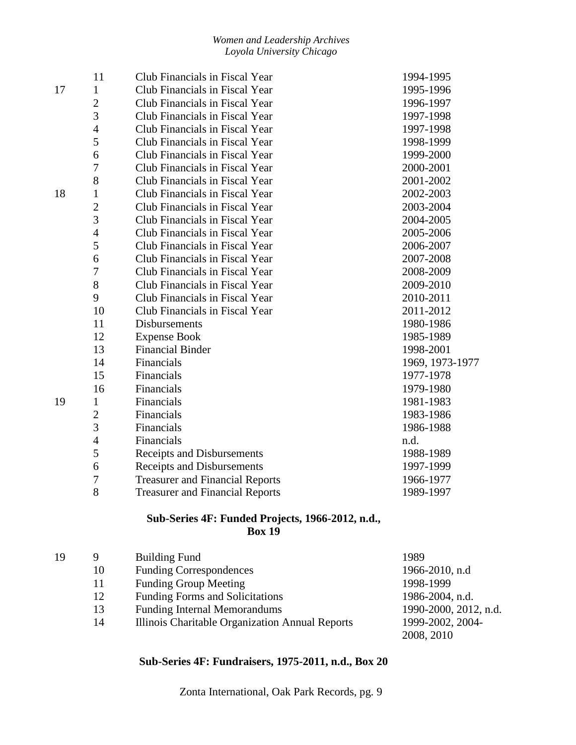|    | 11             | Club Financials in Fiscal Year         | 1994-1995       |
|----|----------------|----------------------------------------|-----------------|
| 17 | 1              | Club Financials in Fiscal Year         | 1995-1996       |
|    | $\overline{2}$ | Club Financials in Fiscal Year         | 1996-1997       |
|    | 3              | Club Financials in Fiscal Year         | 1997-1998       |
|    | $\overline{4}$ | Club Financials in Fiscal Year         | 1997-1998       |
|    | 5              | Club Financials in Fiscal Year         | 1998-1999       |
|    | 6              | Club Financials in Fiscal Year         | 1999-2000       |
|    | 7              | Club Financials in Fiscal Year         | 2000-2001       |
|    | 8              | Club Financials in Fiscal Year         | 2001-2002       |
| 18 | 1              | Club Financials in Fiscal Year         | 2002-2003       |
|    | $\overline{2}$ | Club Financials in Fiscal Year         | 2003-2004       |
|    | 3              | Club Financials in Fiscal Year         | 2004-2005       |
|    | $\overline{4}$ | Club Financials in Fiscal Year         | 2005-2006       |
|    | 5              | Club Financials in Fiscal Year         | 2006-2007       |
|    | 6              | Club Financials in Fiscal Year         | 2007-2008       |
|    | 7              | Club Financials in Fiscal Year         | 2008-2009       |
|    | 8              | Club Financials in Fiscal Year         | 2009-2010       |
|    | 9              | Club Financials in Fiscal Year         | 2010-2011       |
|    | 10             | Club Financials in Fiscal Year         | 2011-2012       |
|    | 11             | Disbursements                          | 1980-1986       |
|    | 12             | <b>Expense Book</b>                    | 1985-1989       |
|    | 13             | <b>Financial Binder</b>                | 1998-2001       |
|    | 14             | Financials                             | 1969, 1973-1977 |
|    | 15             | Financials                             | 1977-1978       |
|    | 16             | Financials                             | 1979-1980       |
| 19 | 1              | Financials                             | 1981-1983       |
|    | $\overline{2}$ | Financials                             | 1983-1986       |
|    | 3              | Financials                             | 1986-1988       |
|    | $\overline{4}$ | Financials                             | n.d.            |
|    | 5              | Receipts and Disbursements             | 1988-1989       |
|    | 6              | Receipts and Disbursements             | 1997-1999       |
|    | 7              | <b>Treasurer and Financial Reports</b> | 1966-1977       |
|    | 8              | <b>Treasurer and Financial Reports</b> | 1989-1997       |

## **Sub-Series 4F: Funded Projects, 1966-2012, n.d., Box 19**

| 19 | 9  | <b>Building Fund</b>                            | 1989                  |
|----|----|-------------------------------------------------|-----------------------|
|    | 10 | <b>Funding Correspondences</b>                  | 1966-2010, n.d        |
|    | 11 | <b>Funding Group Meeting</b>                    | 1998-1999             |
|    | 12 | <b>Funding Forms and Solicitations</b>          | 1986-2004, n.d.       |
|    | 13 | <b>Funding Internal Memorandums</b>             | 1990-2000, 2012, n.d. |
|    | 14 | Illinois Charitable Organization Annual Reports | 1999-2002, 2004-      |
|    |    |                                                 | 2008, 2010            |

## **Sub-Series 4F: Fundraisers, 1975-2011, n.d., Box 20**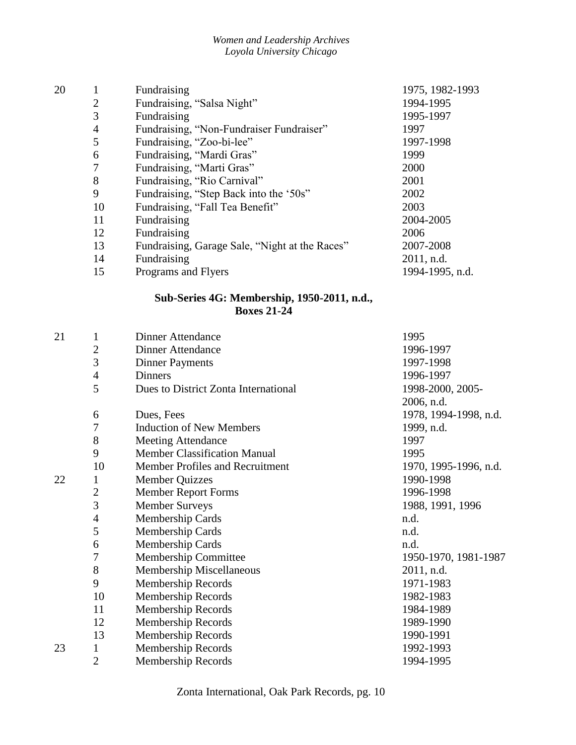| 20 |                | Fundraising                                    | 1975, 1982-1993 |
|----|----------------|------------------------------------------------|-----------------|
|    | $\overline{2}$ | Fundraising, "Salsa Night"                     | 1994-1995       |
|    | 3              | Fundraising                                    | 1995-1997       |
|    | 4              | Fundraising, "Non-Fundraiser Fundraiser"       | 1997            |
|    | 5              | Fundraising, "Zoo-bi-lee"                      | 1997-1998       |
|    | 6              | Fundraising, "Mardi Gras"                      | 1999            |
|    | 7              | Fundraising, "Marti Gras"                      | 2000            |
|    | 8              | Fundraising, "Rio Carnival"                    | 2001            |
|    | 9              | Fundraising, "Step Back into the '50s"         | 2002            |
|    | 10             | Fundraising, "Fall Tea Benefit"                | 2003            |
|    | 11             | Fundraising                                    | 2004-2005       |
|    | 12             | Fundraising                                    | 2006            |
|    | 13             | Fundraising, Garage Sale, "Night at the Races" | 2007-2008       |
|    | 14             | Fundraising                                    | $2011$ , n.d.   |
|    | 15             | Programs and Flyers                            | 1994-1995, n.d. |
|    |                |                                                |                 |

#### **Sub-Series 4G: Membership, 1950-2011, n.d., Boxes 21-24**

| 21 | 1              | <b>Dinner Attendance</b>             | 1995                  |
|----|----------------|--------------------------------------|-----------------------|
|    | $\mathbf{2}$   | <b>Dinner Attendance</b>             | 1996-1997             |
|    | 3              | <b>Dinner Payments</b>               | 1997-1998             |
|    | $\overline{4}$ | <b>Dinners</b>                       | 1996-1997             |
|    | 5              | Dues to District Zonta International | 1998-2000, 2005-      |
|    |                |                                      | 2006, n.d.            |
|    | 6              | Dues, Fees                           | 1978, 1994-1998, n.d. |
|    | $\overline{7}$ | <b>Induction of New Members</b>      | 1999, n.d.            |
|    | 8              | <b>Meeting Attendance</b>            | 1997                  |
|    | 9              | <b>Member Classification Manual</b>  | 1995                  |
|    | 10             | Member Profiles and Recruitment      | 1970, 1995-1996, n.d. |
| 22 | $\mathbf{1}$   | <b>Member Quizzes</b>                | 1990-1998             |
|    | $\sqrt{2}$     | <b>Member Report Forms</b>           | 1996-1998             |
|    | $\overline{3}$ | <b>Member Surveys</b>                | 1988, 1991, 1996      |
|    | $\overline{4}$ | Membership Cards                     | n.d.                  |
|    | 5              | Membership Cards                     | n.d.                  |
|    | 6              | Membership Cards                     | n.d.                  |
|    | 7              | Membership Committee                 | 1950-1970, 1981-1987  |
|    | 8              | Membership Miscellaneous             | 2011, n.d.            |
|    | 9              | Membership Records                   | 1971-1983             |
|    | 10             | Membership Records                   | 1982-1983             |
|    | 11             | Membership Records                   | 1984-1989             |
|    | 12             | Membership Records                   | 1989-1990             |
|    | 13             | Membership Records                   | 1990-1991             |
| 23 | $\mathbf{1}$   | Membership Records                   | 1992-1993             |
|    | $\overline{2}$ | Membership Records                   | 1994-1995             |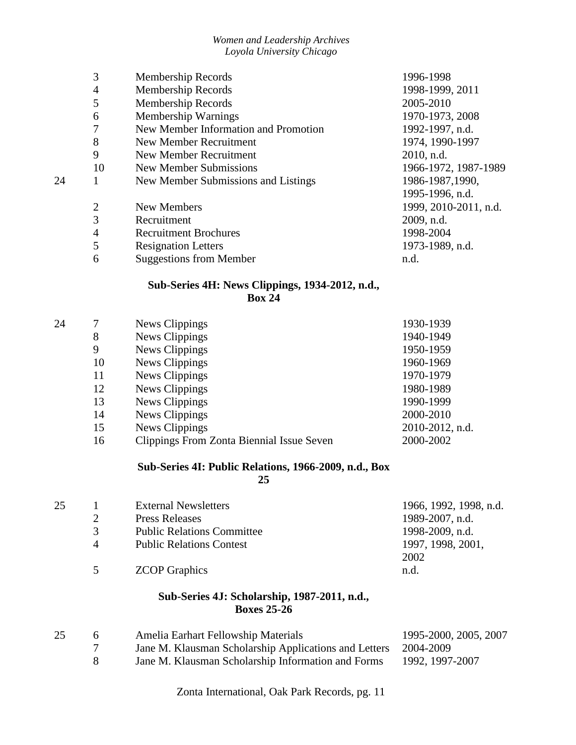|    | 3              | Membership Records                   | 1996-1998             |
|----|----------------|--------------------------------------|-----------------------|
|    | 4              | <b>Membership Records</b>            | 1998-1999, 2011       |
|    | 5              | Membership Records                   | 2005-2010             |
|    | 6              | Membership Warnings                  | 1970-1973, 2008       |
|    | 7              | New Member Information and Promotion | 1992-1997, n.d.       |
|    | 8              | New Member Recruitment               | 1974, 1990-1997       |
|    | 9              | New Member Recruitment               | 2010, n.d.            |
|    | 10             | New Member Submissions               | 1966-1972, 1987-1989  |
| 24 |                | New Member Submissions and Listings  | 1986-1987,1990,       |
|    |                |                                      | 1995-1996, n.d.       |
|    | $\overline{2}$ | New Members                          | 1999, 2010-2011, n.d. |
|    | 3              | Recruitment                          | 2009, n.d.            |
|    | $\overline{4}$ | <b>Recruitment Brochures</b>         | 1998-2004             |
|    | 5              | <b>Resignation Letters</b>           | 1973-1989, n.d.       |
|    | 6              | <b>Suggestions from Member</b>       | n.d.                  |

## **Sub-Series 4H: News Clippings, 1934-2012, n.d., Box 24**

| 24 | 7  | News Clippings                            | 1930-1939       |
|----|----|-------------------------------------------|-----------------|
|    | 8  | News Clippings                            | 1940-1949       |
|    | 9  | News Clippings                            | 1950-1959       |
|    | 10 | News Clippings                            | 1960-1969       |
|    | 11 | News Clippings                            | 1970-1979       |
|    | 12 | News Clippings                            | 1980-1989       |
|    | 13 | News Clippings                            | 1990-1999       |
|    | 14 | News Clippings                            | 2000-2010       |
|    | 15 | News Clippings                            | 2010-2012, n.d. |
|    | 16 | Clippings From Zonta Biennial Issue Seven | 2000-2002       |
|    |    |                                           |                 |

## **Sub-Series 4I: Public Relations, 1966-2009, n.d., Box**

**25**

| 1997, 1998, 2001, |
|-------------------|
|                   |
|                   |
|                   |

## **Sub-Series 4J: Scholarship, 1987-2011, n.d., Boxes 25-26**

| 25 | Amelia Earhart Fellowship Materials                             | 1995-2000, 2005, 2007 |
|----|-----------------------------------------------------------------|-----------------------|
|    | Jane M. Klausman Scholarship Applications and Letters 2004-2009 |                       |
|    | Jane M. Klausman Scholarship Information and Forms              | 1992, 1997-2007       |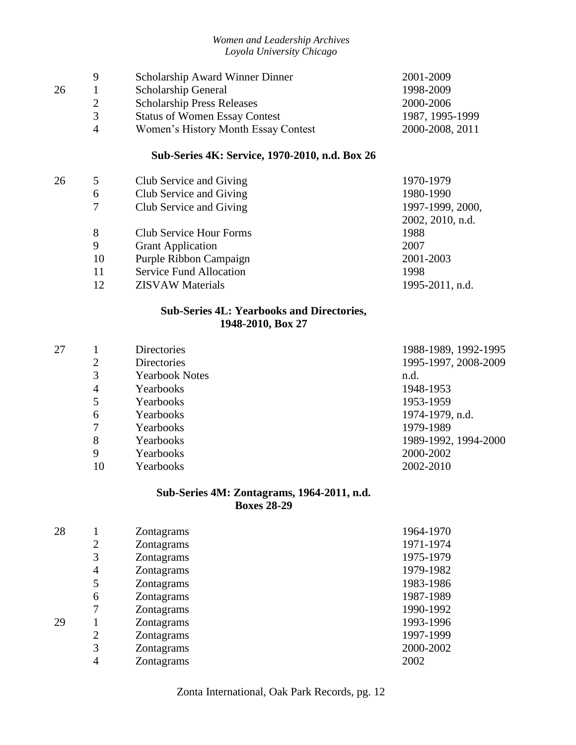| 9             | <b>Scholarship Award Winner Dinner</b> | 2001-2009       |
|---------------|----------------------------------------|-----------------|
|               | Scholarship General                    | 1998-2009       |
|               | <b>Scholarship Press Releases</b>      | 2000-2006       |
| $\mathcal{R}$ | <b>Status of Women Essay Contest</b>   | 1987, 1995-1999 |
| $\Delta$      | Women's History Month Essay Contest    | 2000-2008, 2011 |
|               |                                        |                 |

## **Sub-Series 4K: Service, 1970-2010, n.d. Box 26**

| 26 |    |                                | 1970-1979        |
|----|----|--------------------------------|------------------|
|    | 5  | Club Service and Giving        |                  |
|    | 6  | Club Service and Giving        | 1980-1990        |
|    | 7  | Club Service and Giving        | 1997-1999, 2000, |
|    |    |                                | 2002, 2010, n.d. |
|    | 8  | <b>Club Service Hour Forms</b> | 1988             |
|    | 9  | <b>Grant Application</b>       | 2007             |
|    | 10 | Purple Ribbon Campaign         | 2001-2003        |
|    | 11 | <b>Service Fund Allocation</b> | 1998             |
|    | 12 | <b>ZISVAW</b> Materials        | 1995-2011, n.d.  |
|    |    |                                |                  |

## **Sub-Series 4L: Yearbooks and Directories, 1948-2010, Box 27**

| 27 |    | <b>Directories</b>    | 1988-1989, 1992-1995 |
|----|----|-----------------------|----------------------|
|    | 2  | <b>Directories</b>    | 1995-1997, 2008-2009 |
|    | 3  | <b>Yearbook Notes</b> | n.d.                 |
|    | 4  | Yearbooks             | 1948-1953            |
|    | 5  | Yearbooks             | 1953-1959            |
|    | 6  | Yearbooks             | 1974-1979, n.d.      |
|    | 7  | Yearbooks             | 1979-1989            |
|    | 8  | Yearbooks             | 1989-1992, 1994-2000 |
|    | 9  | Yearbooks             | 2000-2002            |
|    | 10 | Yearbooks             | 2002-2010            |

## **Sub-Series 4M: Zontagrams, 1964-2011, n.d. Boxes 28-29**

| 28 |   | Zontagrams | 1964-1970 |
|----|---|------------|-----------|
|    | 2 | Zontagrams | 1971-1974 |
|    | 3 | Zontagrams | 1975-1979 |
|    | 4 | Zontagrams | 1979-1982 |
|    | 5 | Zontagrams | 1983-1986 |
|    | 6 | Zontagrams | 1987-1989 |
|    |   | Zontagrams | 1990-1992 |
| 29 |   | Zontagrams | 1993-1996 |
|    | 2 | Zontagrams | 1997-1999 |
|    | 3 | Zontagrams | 2000-2002 |
|    | 4 | Zontagrams | 2002      |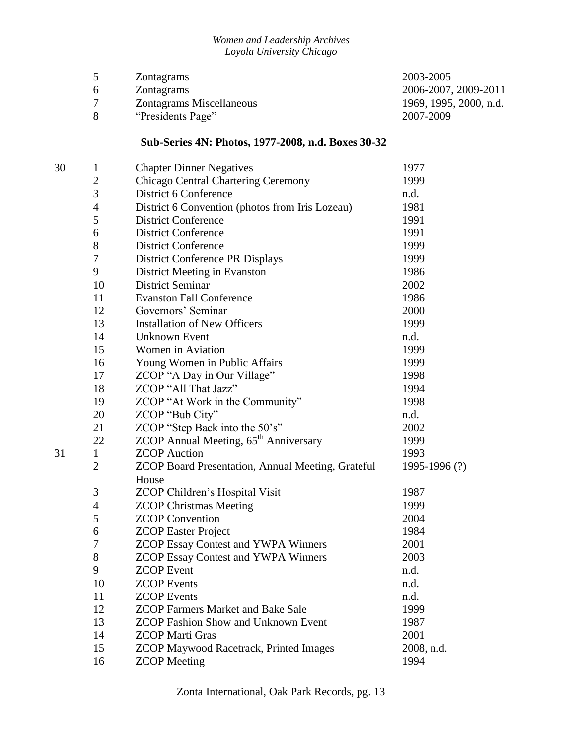|              | <b>Zontagrams</b>               | 2003-2005              |
|--------------|---------------------------------|------------------------|
| <sub>b</sub> | Zontagrams                      | 2006-2007, 2009-2011   |
|              | <b>Zontagrams Miscellaneous</b> | 1969, 1995, 2000, n.d. |
|              | "Presidents Page"               | 2007-2009              |

## **Sub-Series 4N: Photos, 1977-2008, n.d. Boxes 30-32**

| 30 | $\mathbf{1}$   | <b>Chapter Dinner Negatives</b>                          | 1977         |
|----|----------------|----------------------------------------------------------|--------------|
|    | $\overline{c}$ | Chicago Central Chartering Ceremony                      | 1999         |
|    | 3              | District 6 Conference                                    | n.d.         |
|    | $\overline{4}$ | District 6 Convention (photos from Iris Lozeau)          | 1981         |
|    | 5              | <b>District Conference</b>                               | 1991         |
|    | 6              | <b>District Conference</b>                               | 1991         |
|    | 8              | <b>District Conference</b>                               | 1999         |
|    | 7              | <b>District Conference PR Displays</b>                   | 1999         |
|    | 9              | District Meeting in Evanston                             | 1986         |
|    | 10             | <b>District Seminar</b>                                  | 2002         |
|    | 11             | <b>Evanston Fall Conference</b>                          | 1986         |
|    | 12             | Governors' Seminar                                       | 2000         |
|    | 13             | <b>Installation of New Officers</b>                      | 1999         |
|    | 14             | <b>Unknown Event</b>                                     | n.d.         |
|    | 15             | Women in Aviation                                        | 1999         |
|    | 16             | Young Women in Public Affairs                            | 1999         |
|    | 17             | ZCOP "A Day in Our Village"                              | 1998         |
|    | 18             | ZCOP "All That Jazz"                                     | 1994         |
|    | 19             | ZCOP "At Work in the Community"                          | 1998         |
|    | 20             | ZCOP "Bub City"                                          | n.d.         |
|    | 21             | ZCOP "Step Back into the 50's"                           | 2002         |
|    | 22             | ZCOP Annual Meeting, 65 <sup>th</sup> Anniversary        | 1999         |
| 31 | $\mathbf{1}$   | <b>ZCOP</b> Auction                                      | 1993         |
|    | $\overline{2}$ | <b>ZCOP Board Presentation, Annual Meeting, Grateful</b> | 1995-1996(?) |
|    |                | House                                                    |              |
|    | 3              | ZCOP Children's Hospital Visit                           | 1987         |
|    | $\overline{4}$ | <b>ZCOP Christmas Meeting</b>                            | 1999         |
|    | 5              | <b>ZCOP</b> Convention                                   | 2004         |
|    | 6              | <b>ZCOP Easter Project</b>                               | 1984         |
|    | 7              | <b>ZCOP Essay Contest and YWPA Winners</b>               | 2001         |
|    | 8              | <b>ZCOP Essay Contest and YWPA Winners</b>               | 2003         |
|    | 9              | <b>ZCOP</b> Event                                        | n.d.         |
|    | 10             | <b>ZCOP</b> Events                                       | n.d.         |
|    | 11             | <b>ZCOP</b> Events                                       | n.d.         |
|    | 12             | <b>ZCOP Farmers Market and Bake Sale</b>                 | 1999         |
|    | 13             | <b>ZCOP Fashion Show and Unknown Event</b>               | 1987         |
|    | 14             | <b>ZCOP</b> Marti Gras                                   | 2001         |
|    | 15             | <b>ZCOP Maywood Racetrack, Printed Images</b>            | 2008, n.d.   |
|    | 16             | <b>ZCOP</b> Meeting                                      | 1994         |
|    |                |                                                          |              |